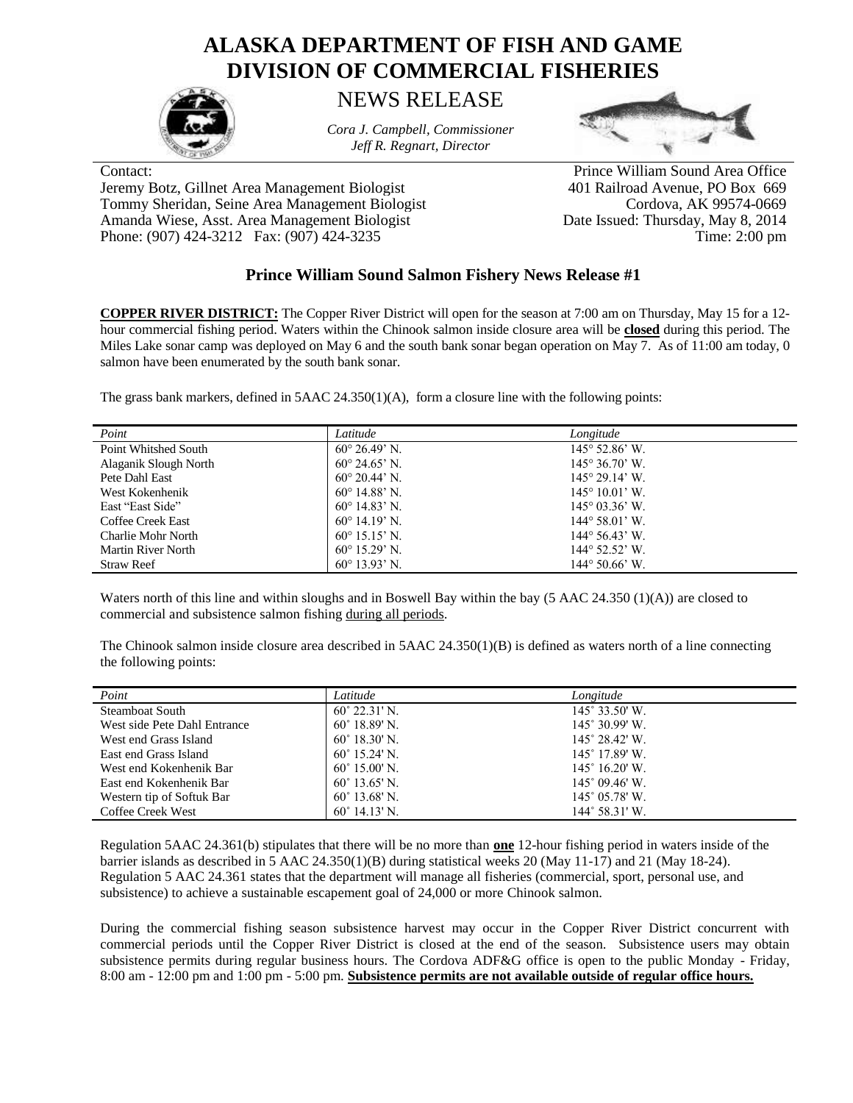## **ALASKA DEPARTMENT OF FISH AND GAME DIVISION OF COMMERCIAL FISHERIES**



## NEWS RELEASE

*Cora J. Campbell, Commissioner Jeff R. Regnart, Director*



Jeremy Botz, Gillnet Area Management Biologist 401 Railroad Avenue, PO Box 669 Tommy Sheridan, Seine Area Management Biologist Cordova, AK 99574-0669 Amanda Wiese, Asst. Area Management Biologist Date Issued: Thursday, May 8, 2014 Phone: (907) 424-3212 Fax: (907) 424-3235 Time: 2:00 pm

Contact: Prince William Sound Area Office

## **Prince William Sound Salmon Fishery News Release #1**

**COPPER RIVER DISTRICT:** The Copper River District will open for the season at 7:00 am on Thursday, May 15 for a 12 hour commercial fishing period. Waters within the Chinook salmon inside closure area will be **closed** during this period. The Miles Lake sonar camp was deployed on May 6 and the south bank sonar began operation on May 7. As of 11:00 am today, 0 salmon have been enumerated by the south bank sonar.

The grass bank markers, defined in 5AAC 24.350(1)(A), form a closure line with the following points:

| Point                 | Latitude                      | Longitude                      |
|-----------------------|-------------------------------|--------------------------------|
| Point Whitshed South  | $60^{\circ} 26.49^{\circ}$ N. | $145^{\circ}$ 52.86' W.        |
| Alaganik Slough North | $60^{\circ}$ 24.65' N         | $145^{\circ} 36.70^{\circ}$ W. |
| Pete Dahl East        | $60^{\circ}$ 20.44' N.        | $145^{\circ}$ 29.14' W.        |
| West Kokenhenik       | $60^{\circ}$ 14.88' N.        | $145^{\circ} 10.01'$ W.        |
| East "East Side"      | $60^{\circ}$ 14.83' N.        | $145^{\circ}$ 03.36° W.        |
| Coffee Creek East     | $60^{\circ}$ 14.19' N.        | $144^{\circ} 58.01'$ W.        |
| Charlie Mohr North    | $60^{\circ}$ 15.15' N         | $144^{\circ} 56.43^{\circ}$ W. |
| Martin River North    | $60^{\circ}$ 15.29' N         | $144^{\circ}$ 52.52' W.        |
| <b>Straw Reef</b>     | $60^{\circ}$ 13.93' N.        | $144^{\circ} 50.66^{\circ}$ W. |

Waters north of this line and within sloughs and in Boswell Bay within the bay (5 AAC 24.350 (1)(A)) are closed to commercial and subsistence salmon fishing during all periods.

The Chinook salmon inside closure area described in 5AAC 24.350(1)(B) is defined as waters north of a line connecting the following points:

| Point                        | Latitude               | Longitude               |
|------------------------------|------------------------|-------------------------|
| Steamboat South              | $60^{\circ}$ 22.31' N. | 145° 33.50' W.          |
| West side Pete Dahl Entrance | $60^{\circ}$ 18.89' N. | $145^{\circ}$ 30.99' W. |
| West end Grass Island        | $60^{\circ}$ 18.30' N. | 145° 28.42′ W.          |
| East end Grass Island        | $60^{\circ}$ 15.24' N. | $145^{\circ}$ 17.89' W. |
| West end Kokenhenik Bar      | $60^{\circ}$ 15.00' N. | $145^{\circ}$ 16.20' W. |
| East end Kokenhenik Bar      | $60^{\circ}$ 13.65' N. | $145^{\circ}$ 09.46' W. |
| Western tip of Softuk Bar    | $60^{\circ}$ 13.68' N. | $145^{\circ}$ 05.78' W. |
| Coffee Creek West            | $60^{\circ}$ 14.13' N. | $144^{\circ}$ 58.31' W. |

Regulation 5AAC 24.361(b) stipulates that there will be no more than **one** 12-hour fishing period in waters inside of the barrier islands as described in 5 AAC 24.350(1)(B) during statistical weeks 20 (May 11-17) and 21 (May 18-24). Regulation 5 AAC 24.361 states that the department will manage all fisheries (commercial, sport, personal use, and subsistence) to achieve a sustainable escapement goal of 24,000 or more Chinook salmon.

During the commercial fishing season subsistence harvest may occur in the Copper River District concurrent with commercial periods until the Copper River District is closed at the end of the season. Subsistence users may obtain subsistence permits during regular business hours. The Cordova ADF&G office is open to the public Monday - Friday, 8:00 am - 12:00 pm and 1:00 pm - 5:00 pm. **Subsistence permits are not available outside of regular office hours.**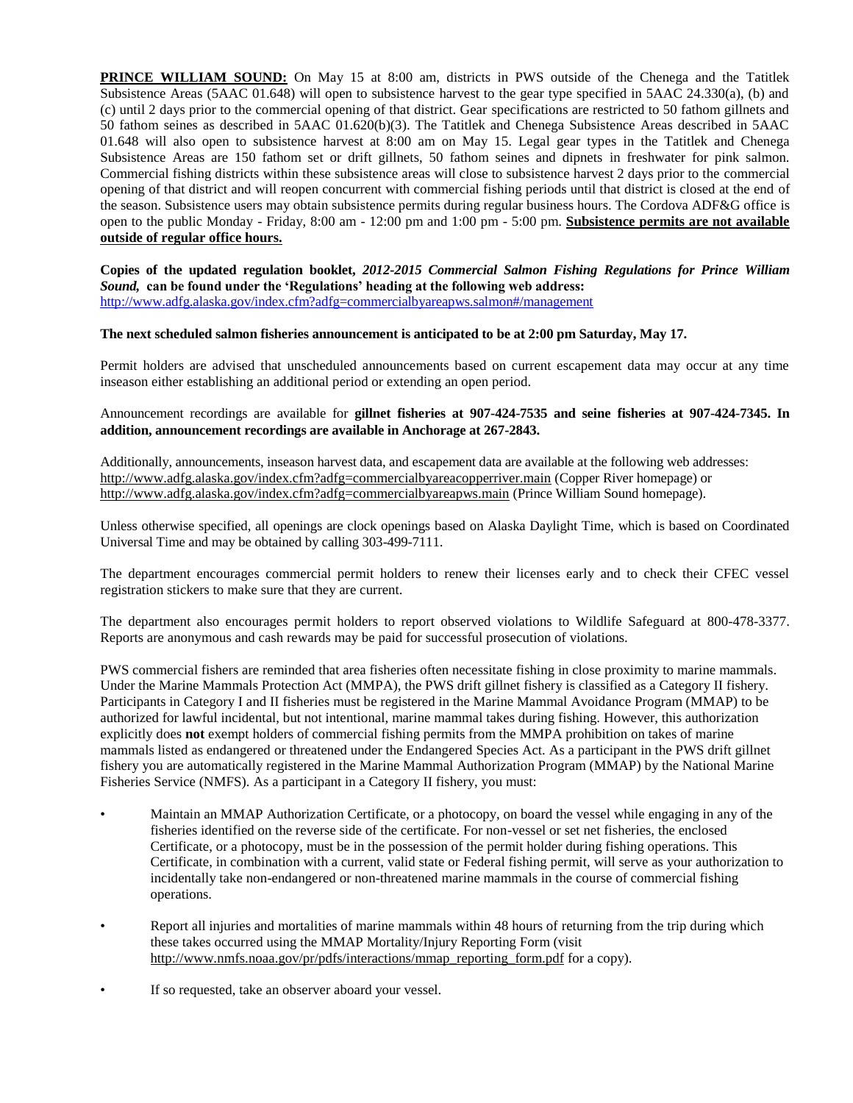**PRINCE WILLIAM SOUND:** On May 15 at 8:00 am, districts in PWS outside of the Chenega and the Tatitlek Subsistence Areas (5AAC 01.648) will open to subsistence harvest to the gear type specified in 5AAC 24.330(a), (b) and (c) until 2 days prior to the commercial opening of that district. Gear specifications are restricted to 50 fathom gillnets and 50 fathom seines as described in 5AAC 01.620(b)(3). The Tatitlek and Chenega Subsistence Areas described in 5AAC 01.648 will also open to subsistence harvest at 8:00 am on May 15. Legal gear types in the Tatitlek and Chenega Subsistence Areas are 150 fathom set or drift gillnets, 50 fathom seines and dipnets in freshwater for pink salmon. Commercial fishing districts within these subsistence areas will close to subsistence harvest 2 days prior to the commercial opening of that district and will reopen concurrent with commercial fishing periods until that district is closed at the end of the season. Subsistence users may obtain subsistence permits during regular business hours. The Cordova ADF&G office is open to the public Monday - Friday, 8:00 am - 12:00 pm and 1:00 pm - 5:00 pm. **Subsistence permits are not available outside of regular office hours.**

**Copies of the updated regulation booklet,** *2012-2015 Commercial Salmon Fishing Regulations for Prince William Sound,* **can be found under the 'Regulations' heading at the following web address:** <http://www.adfg.alaska.gov/index.cfm?adfg=commercialbyareapws.salmon#/management>

## **The next scheduled salmon fisheries announcement is anticipated to be at 2:00 pm Saturday, May 17.**

Permit holders are advised that unscheduled announcements based on current escapement data may occur at any time inseason either establishing an additional period or extending an open period.

Announcement recordings are available for **gillnet fisheries at 907-424-7535 and seine fisheries at 907-424-7345. In addition, announcement recordings are available in Anchorage at 267-2843.**

Additionally, announcements, inseason harvest data, and escapement data are available at the following web addresses: <http://www.adfg.alaska.gov/index.cfm?adfg=commercialbyareacopperriver.main> (Copper River homepage) or <http://www.adfg.alaska.gov/index.cfm?adfg=commercialbyareapws.main> (Prince William Sound homepage).

Unless otherwise specified, all openings are clock openings based on Alaska Daylight Time, which is based on Coordinated Universal Time and may be obtained by calling 303-499-7111.

The department encourages commercial permit holders to renew their licenses early and to check their CFEC vessel registration stickers to make sure that they are current.

The department also encourages permit holders to report observed violations to Wildlife Safeguard at 800-478-3377. Reports are anonymous and cash rewards may be paid for successful prosecution of violations.

PWS commercial fishers are reminded that area fisheries often necessitate fishing in close proximity to marine mammals. Under the Marine Mammals Protection Act (MMPA), the PWS drift gillnet fishery is classified as a Category II fishery. Participants in Category I and II fisheries must be registered in the Marine Mammal Avoidance Program (MMAP) to be authorized for lawful incidental, but not intentional, marine mammal takes during fishing. However, this authorization explicitly does **not** exempt holders of commercial fishing permits from the MMPA prohibition on takes of marine mammals listed as endangered or threatened under the Endangered Species Act. As a participant in the PWS drift gillnet fishery you are automatically registered in the Marine Mammal Authorization Program (MMAP) by the National Marine Fisheries Service (NMFS). As a participant in a Category II fishery, you must:

- Maintain an MMAP Authorization Certificate, or a photocopy, on board the vessel while engaging in any of the fisheries identified on the reverse side of the certificate. For non-vessel or set net fisheries, the enclosed Certificate, or a photocopy, must be in the possession of the permit holder during fishing operations. This Certificate, in combination with a current, valid state or Federal fishing permit, will serve as your authorization to incidentally take non-endangered or non-threatened marine mammals in the course of commercial fishing operations.
- Report all injuries and mortalities of marine mammals within 48 hours of returning from the trip during which these takes occurred using the MMAP Mortality/Injury Reporting Form (visit [http://www.nmfs.noaa.gov/pr/pdfs/interactions/mmap\\_reporting\\_form.pdf](http://www.nmfs.noaa.gov/pr/pdfs/interactions/mmap_reporting_form.pdf) for a copy).
- If so requested, take an observer aboard your vessel.